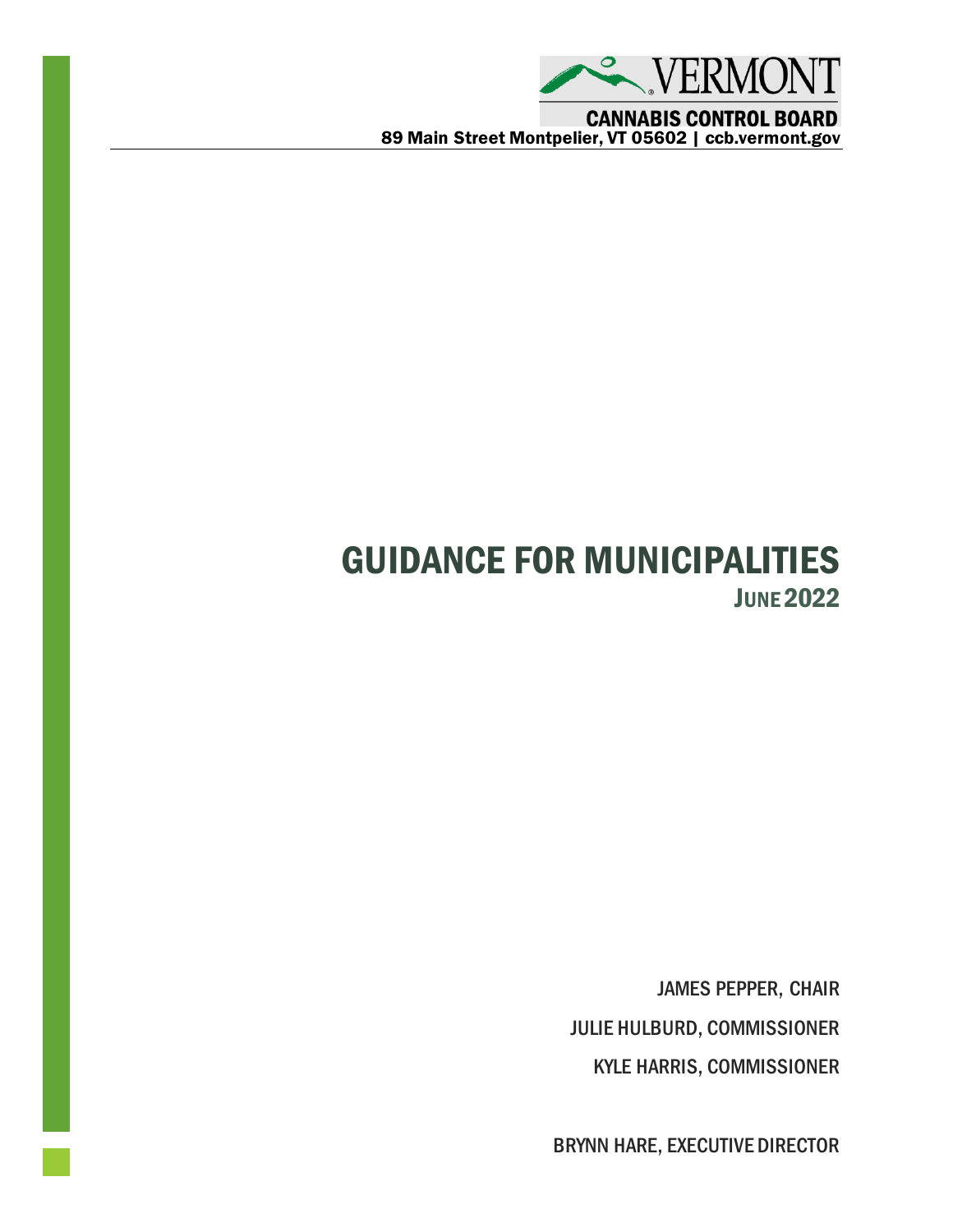

**CANNABIS CONTROL BOARD** 89 Main Street Montpelier, VT 05602 | ccb.vermont.gov

# GUIDANCE FOR MUNICIPALITIES **JUNE 2022**

JAMES PEPPER, CHAIR JULIE HULBURD, COMMISSIONER KYLE HARRIS, COMMISSIONER

BRYNN HARE, EXECUTIVE DIRECTOR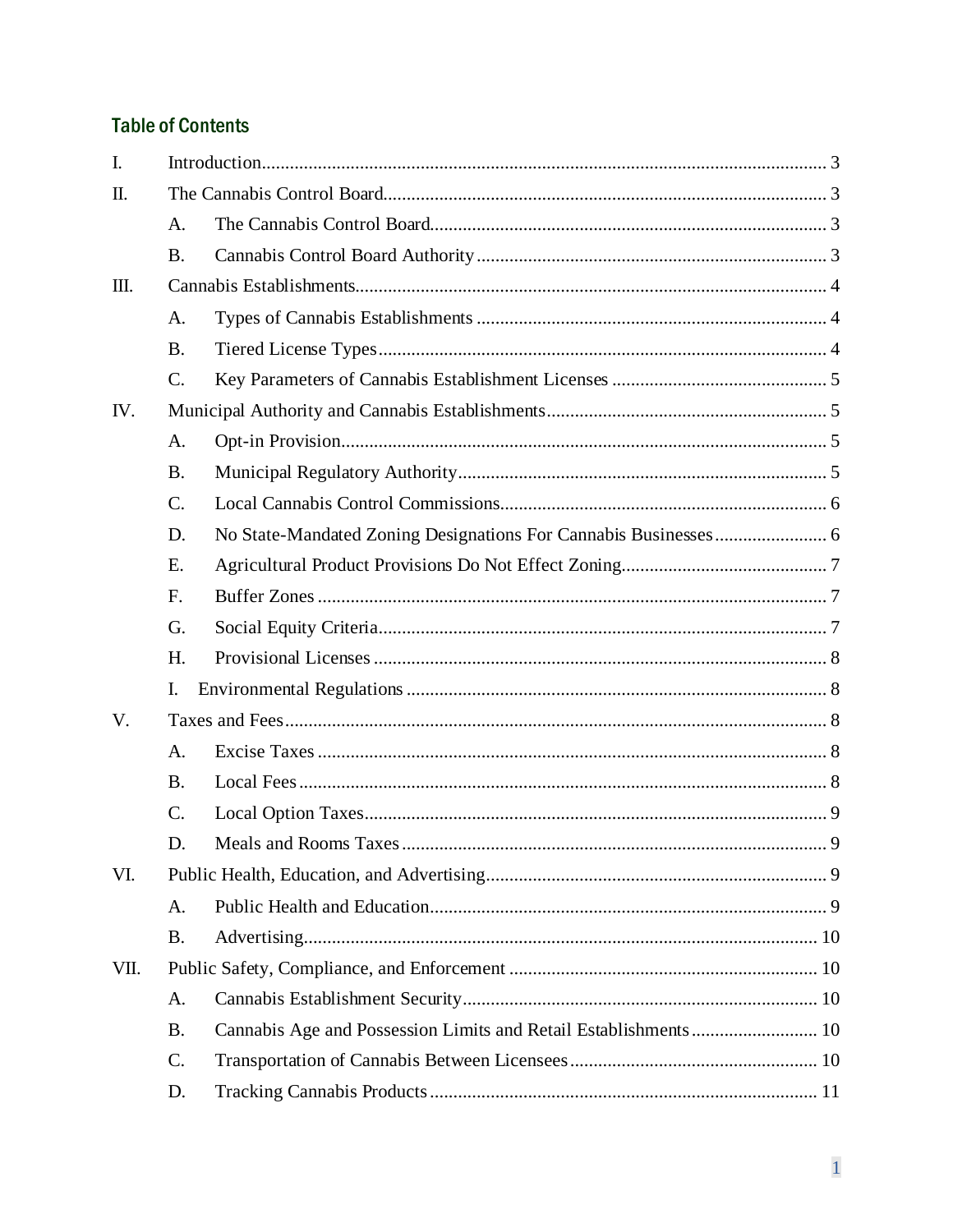## **Table of Contents**

| $\mathbf{I}$ . |                |  |  |
|----------------|----------------|--|--|
| II.            |                |  |  |
|                | A.             |  |  |
|                | <b>B.</b>      |  |  |
| Ш.             |                |  |  |
|                | A.             |  |  |
|                | <b>B.</b>      |  |  |
|                | C.             |  |  |
| IV.            |                |  |  |
|                | A.             |  |  |
|                | <b>B.</b>      |  |  |
|                | $C_{\cdot}$    |  |  |
|                | D.             |  |  |
|                | E.             |  |  |
|                | F <sub>r</sub> |  |  |
|                | G.             |  |  |
|                | H.             |  |  |
|                | I.             |  |  |
| V.             |                |  |  |
|                | A.             |  |  |
|                | <b>B.</b>      |  |  |
|                | C.             |  |  |
|                | D.             |  |  |
| VI.            |                |  |  |
|                | A.             |  |  |
|                | <b>B.</b>      |  |  |
| VII.           |                |  |  |
|                | A.             |  |  |
|                | <b>B.</b>      |  |  |
|                | C.             |  |  |
|                | D.             |  |  |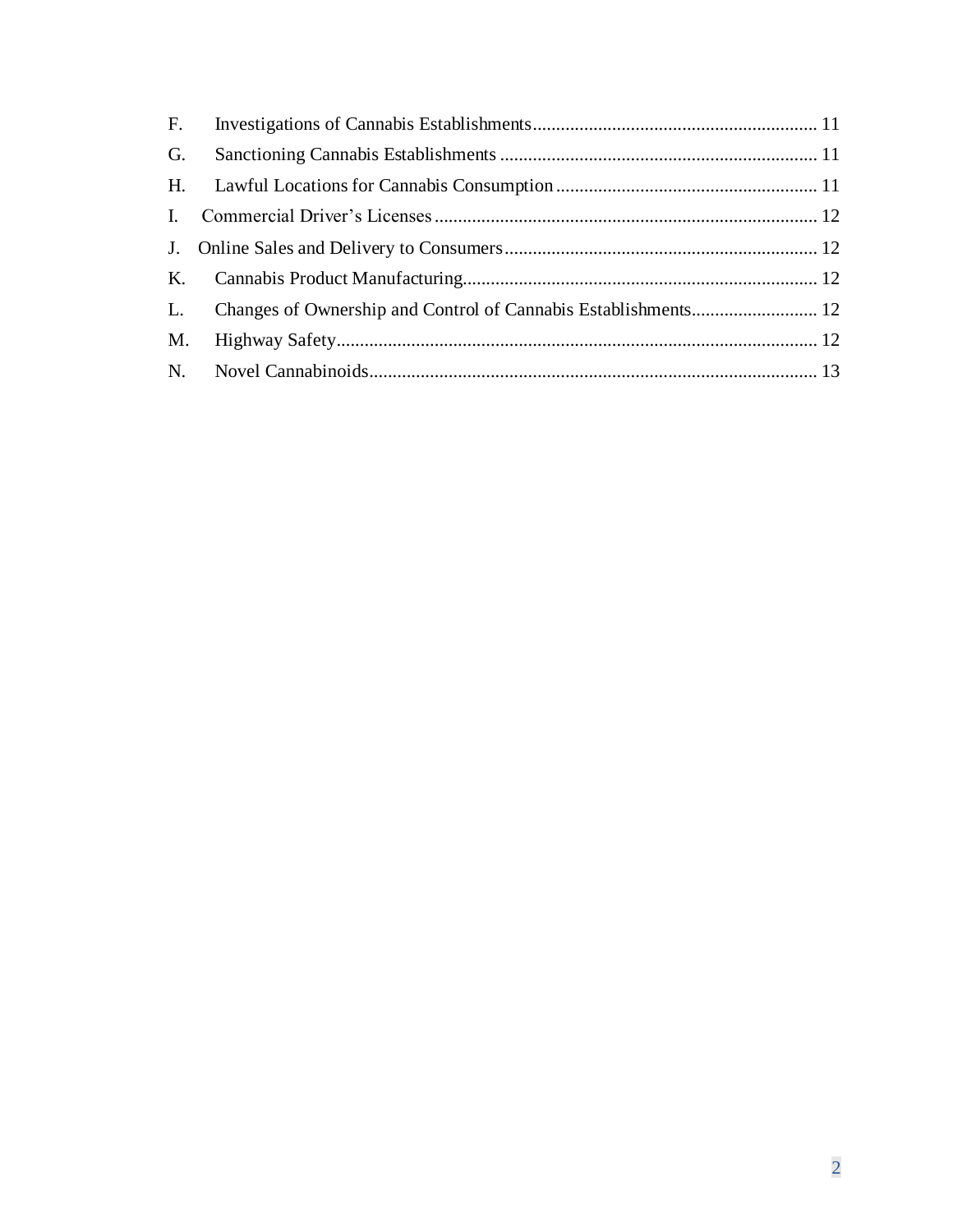| G. |  |
|----|--|
|    |  |
|    |  |
|    |  |
|    |  |
|    |  |
|    |  |
|    |  |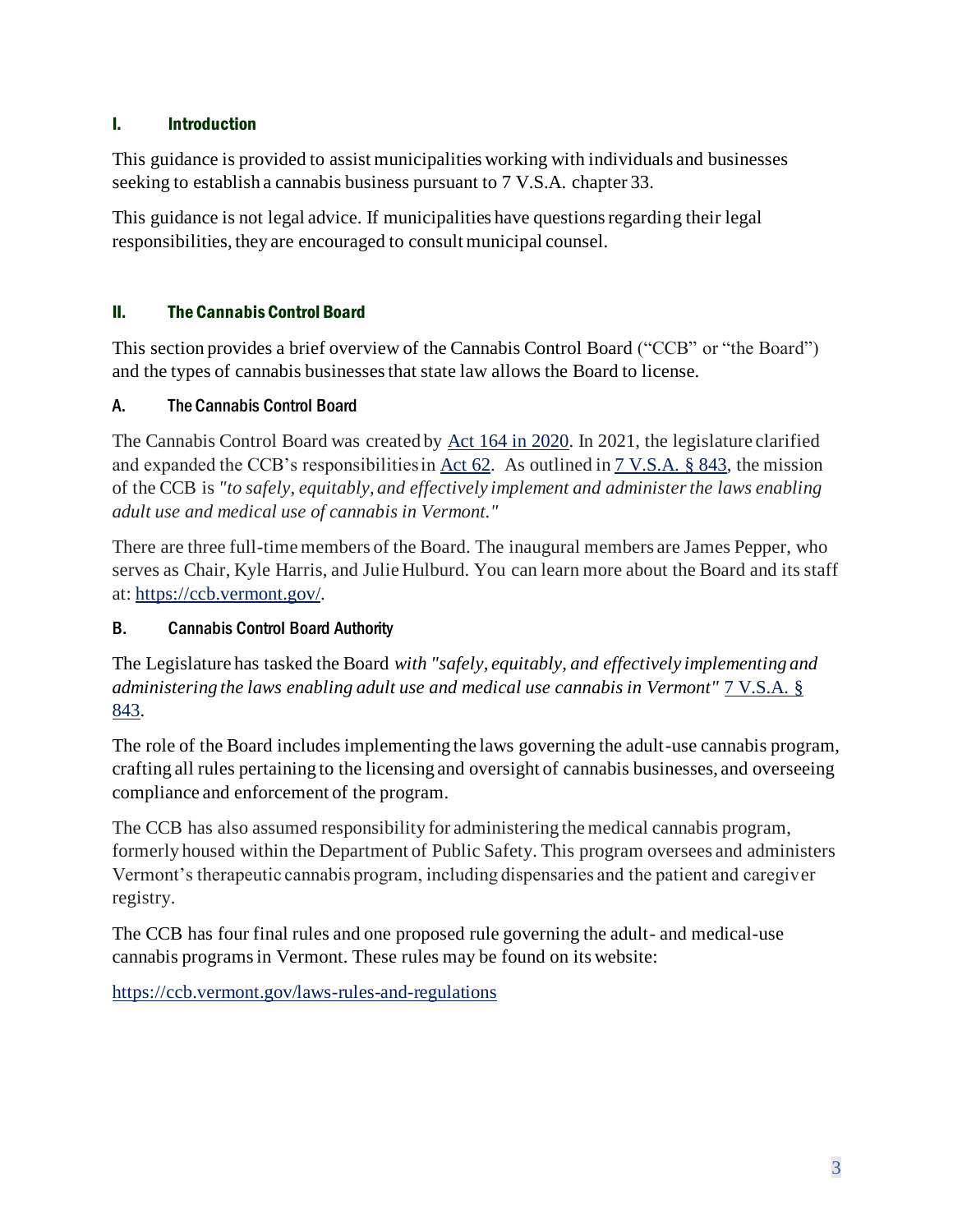#### <span id="page-3-0"></span>I. Introduction

This guidance is provided to assist municipalities working with individuals and businesses seeking to establish a cannabis business pursuant to 7 V.S.A. chapter 33.

This guidance is not legal advice. If municipalities have questions regarding their legal responsibilities, they are encouraged to consult municipal counsel.

#### <span id="page-3-1"></span>II. The Cannabis Control Board

This section provides a brief overview of the Cannabis Control Board ("CCB" or "the Board") and the types of cannabis businesses that state law allows the Board to license.

#### <span id="page-3-2"></span>A. The Cannabis Control Board

The Cannabis Control Board was created by [Act 164 in 2020.](https://legislature.vermont.gov/Documents/2020/Docs/BILLS/S-0054/S-0054%20As%20Passed%20by%20Both%20House%20and%20Senate%20Unofficial.pdf) In 2021, the legislature clarified and expanded the CCB's responsibilities i[n Act 62.](https://legislature.vermont.gov/Documents/2022/Docs/ACTS/ACT062/ACT062%20As%20Enacted.pdf) As outlined in [7 V.S.A. § 843,](https://legislature.vermont.gov/statutes/section/07/031/00843) the mission of the CCB is *"to safely, equitably, and effectively implement and administer the laws enabling adult use and medical use of cannabis in Vermont."*

There are three full-time members of the Board. The inaugural members are James Pepper, who serves as Chair, Kyle Harris, and Julie Hulburd. You can learn more about the Board and its staff at: [https://ccb.vermont.gov/.](https://ccb.vermont.gov/)

## <span id="page-3-3"></span>B. Cannabis Control Board Authority

The Legislature has tasked the Board *with "safely, equitably, and effectively implementing and administering the laws enabling adult use and medical use cannabis in Vermont"* [7 V.S.A. §](https://legislature.vermont.gov/statutes/section/07/031/00843)  [843.](https://legislature.vermont.gov/statutes/section/07/031/00843)

The role of the Board includes implementing the laws governing the adult-use cannabis program, crafting all rules pertaining to the licensing and oversight of cannabis businesses, and overseeing compliance and enforcement of the program.

The CCB has also assumed responsibility for administering the medical cannabis program, formerly housed within the Department of Public Safety. This program oversees and administers Vermont's therapeutic cannabis program, including dispensaries and the patient and caregiver registry.

The CCB has four final rules and one proposed rule governing the adult- and medical-use cannabis programs in Vermont. These rules may be found on its website:

<https://ccb.vermont.gov/laws-rules-and-regulations>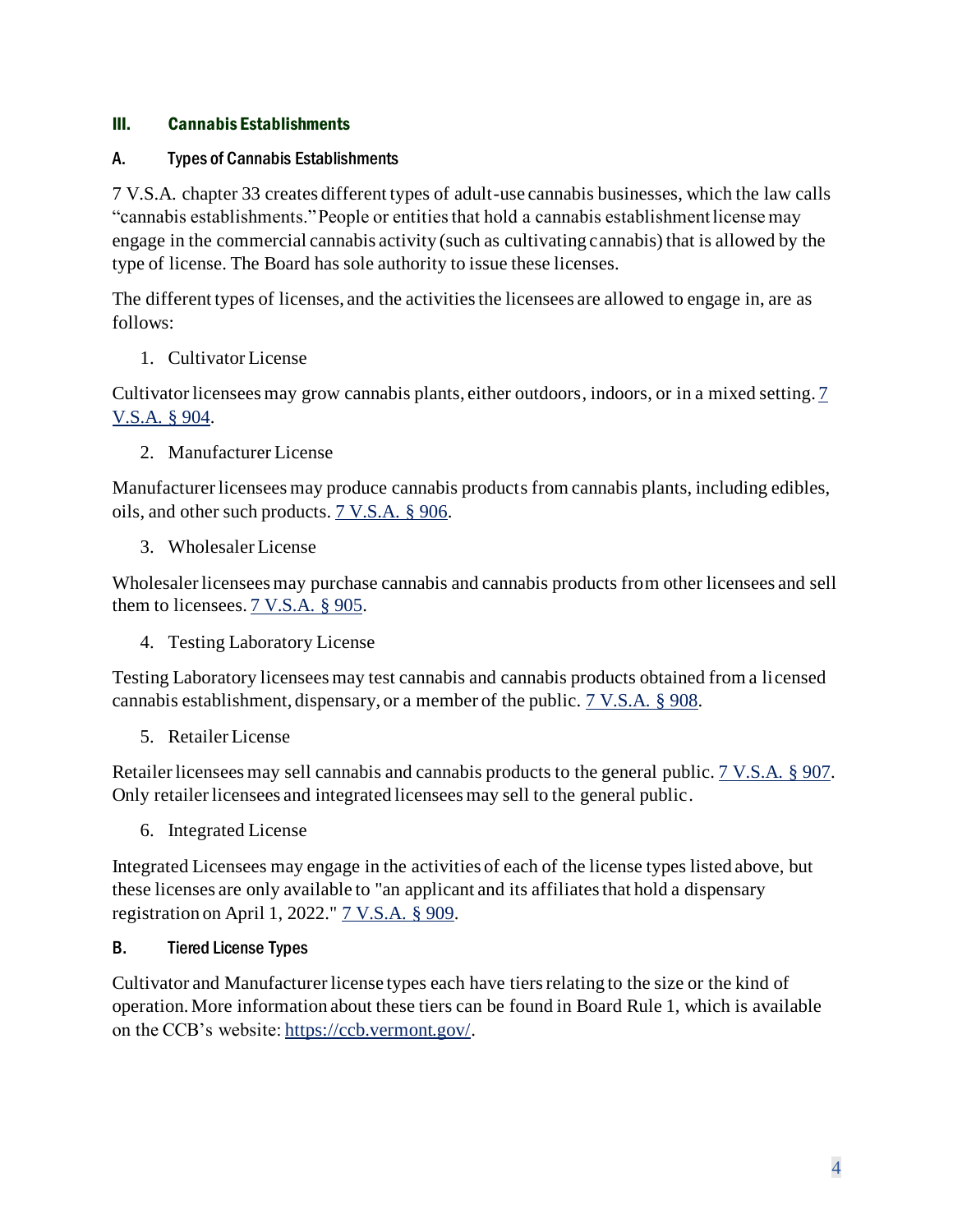#### <span id="page-4-0"></span>III. Cannabis Establishments

#### <span id="page-4-1"></span>A. Types of Cannabis Establishments

7 V.S.A. chapter 33 creates different types of adult-use cannabis businesses, which the law calls "cannabis establishments." People or entities that hold a cannabis establishment license may engage in the commercial cannabis activity (such as cultivating cannabis) that is allowed by the type of license. The Board has sole authority to issue these licenses.

The different types of licenses, and the activities the licensees are allowed to engage in, are as follows:

1. Cultivator License

Cultivator licensees may grow cannabis plants, either outdoors, indoors, or in a mixed setting[. 7](https://legislature.vermont.gov/statutes/section/07/033/00904)  [V.S.A. § 904.](https://legislature.vermont.gov/statutes/section/07/033/00904)

2. Manufacturer License

Manufacturer licensees may produce cannabis products from cannabis plants, including edibles, oils, and other such products. [7 V.S.A. § 906.](https://legislature.vermont.gov/statutes/section/07/033/00906)

3. Wholesaler License

Wholesaler licensees may purchase cannabis and cannabis products from other licensees and sell them to licensees[. 7 V.S.A. § 905.](https://legislature.vermont.gov/statutes/section/07/033/00905)

4. Testing Laboratory License

Testing Laboratory licensees may test cannabis and cannabis products obtained from a licensed cannabis establishment, dispensary, or a member of the public. [7 V.S.A. § 908.](https://legislature.vermont.gov/statutes/section/07/033/00908)

5. Retailer License

Retailer licensees may sell cannabis and cannabis products to the general public[. 7 V.S.A. § 907.](https://legislature.vermont.gov/statutes/section/07/033/00907) Only retailer licensees and integrated licensees may sell to the general public.

6. Integrated License

Integrated Licensees may engage in the activities of each of the license types listed above, but these licenses are only available to "an applicant and its affiliates that hold a dispensary registration on April 1, 2022." [7 V.S.A. § 909.](https://legislature.vermont.gov/statutes/section/07/033/00909)

#### <span id="page-4-2"></span>B. Tiered License Types

Cultivator and Manufacturer license types each have tiers relating to the size or the kind of operation. More information about these tiers can be found in Board Rule 1, which is available on the CCB's website: [https://ccb.vermont.gov/.](https://ccb.vermont.gov/)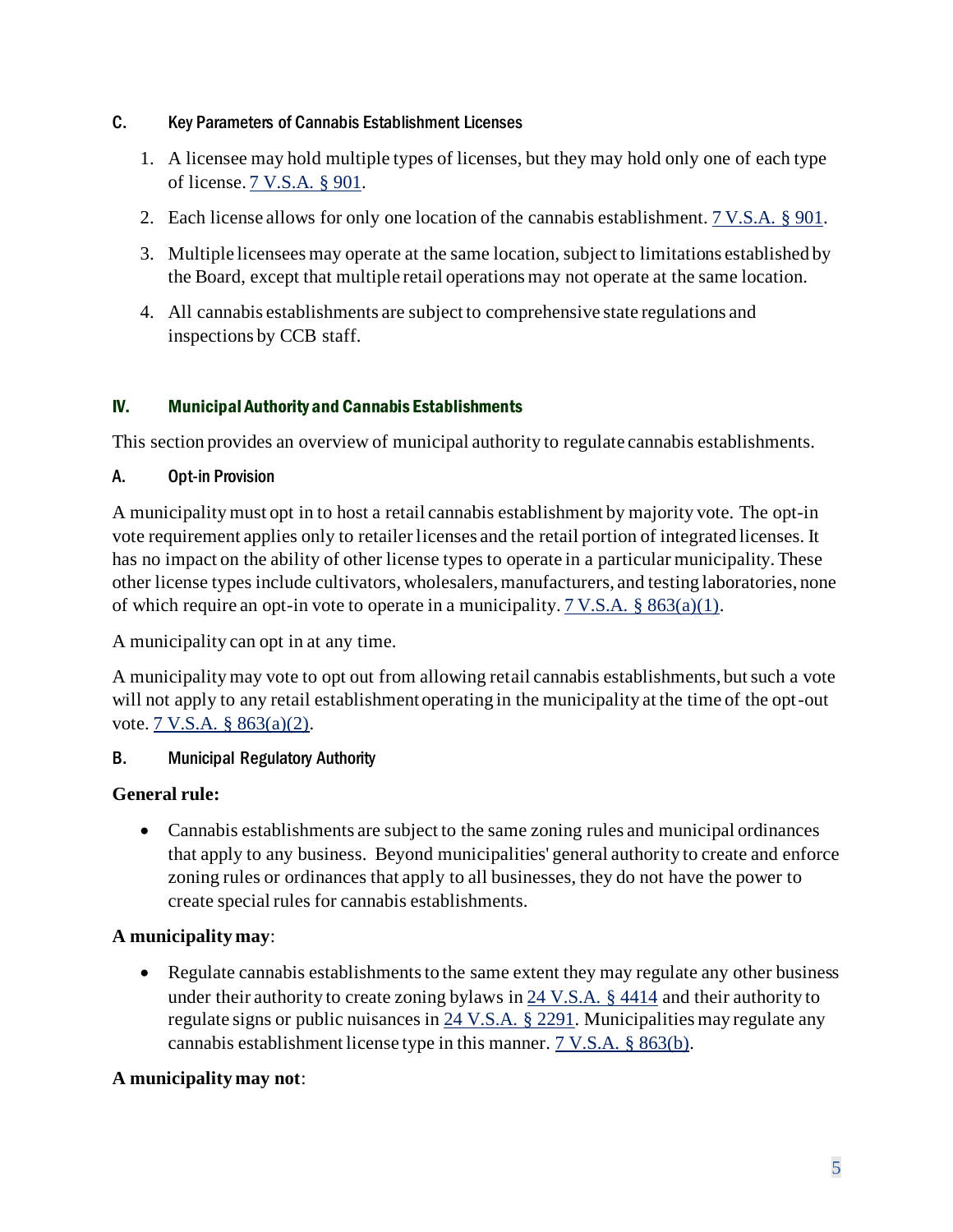#### <span id="page-5-0"></span>C. Key Parameters of Cannabis Establishment Licenses

- 1. A licensee may hold multiple types of licenses, but they may hold only one of each type of license[. 7 V.S.A. § 901.](https://legislature.vermont.gov/statutes/section/07/033/00901)
- 2. Each license allows for only one location of the cannabis establishment[. 7 V.S.A. § 901.](https://legislature.vermont.gov/statutes/section/07/033/00901)
- 3. Multiple licensees may operate at the same location, subject to limitations established by the Board, except that multiple retail operations may not operate at the same location.
- 4. All cannabis establishments are subject to comprehensive state regulations and inspections by CCB staff.

#### <span id="page-5-1"></span>IV. Municipal Authority and Cannabis Establishments

This section provides an overview of municipal authority to regulate cannabis establishments.

#### <span id="page-5-2"></span>A. Opt-in Provision

A municipality must opt in to host a retail cannabis establishment by majority vote. The opt-in vote requirement applies only to retailer licenses and the retail portion of integrated licenses. It has no impact on the ability of other license types to operate in a particular municipality. These other license types include cultivators, wholesalers, manufacturers, and testing laboratories, none of which require an opt-in vote to operate in a municipality[. 7 V.S.A. § 863\(a\)\(1\).](https://legislature.vermont.gov/statutes/section/07/033/00863)

A municipality can opt in at any time.

A municipality may vote to opt out from allowing retail cannabis establishments, but such a vote will not apply to any retail establishment operating in the municipality at the time of the opt-out vote[. 7 V.S.A. § 863\(a\)\(2\).](https://legislature.vermont.gov/statutes/section/07/033/00863)

#### <span id="page-5-3"></span>B. Municipal Regulatory Authority

#### **General rule:**

• Cannabis establishments are subject to the same zoning rules and municipal ordinances that apply to any business. Beyond municipalities' general authority to create and enforce zoning rules or ordinances that apply to all businesses, they do not have the power to create special rules for cannabis establishments.

#### **A municipality may**:

• Regulate cannabis establishments to the same extent they may regulate any other business under their authority to create zoning bylaws i[n 24 V.S.A. § 4414](https://legislature.vermont.gov/statutes/section/24/117/04414) and their authority to regulate signs or public nuisances in  $24$  V.S.A. § 2291. Municipalities may regulate any cannabis establishment license type in this manner. [7 V.S.A. § 863\(b\).](https://legislature.vermont.gov/statutes/section/07/033/00863)

#### **A municipality may not**: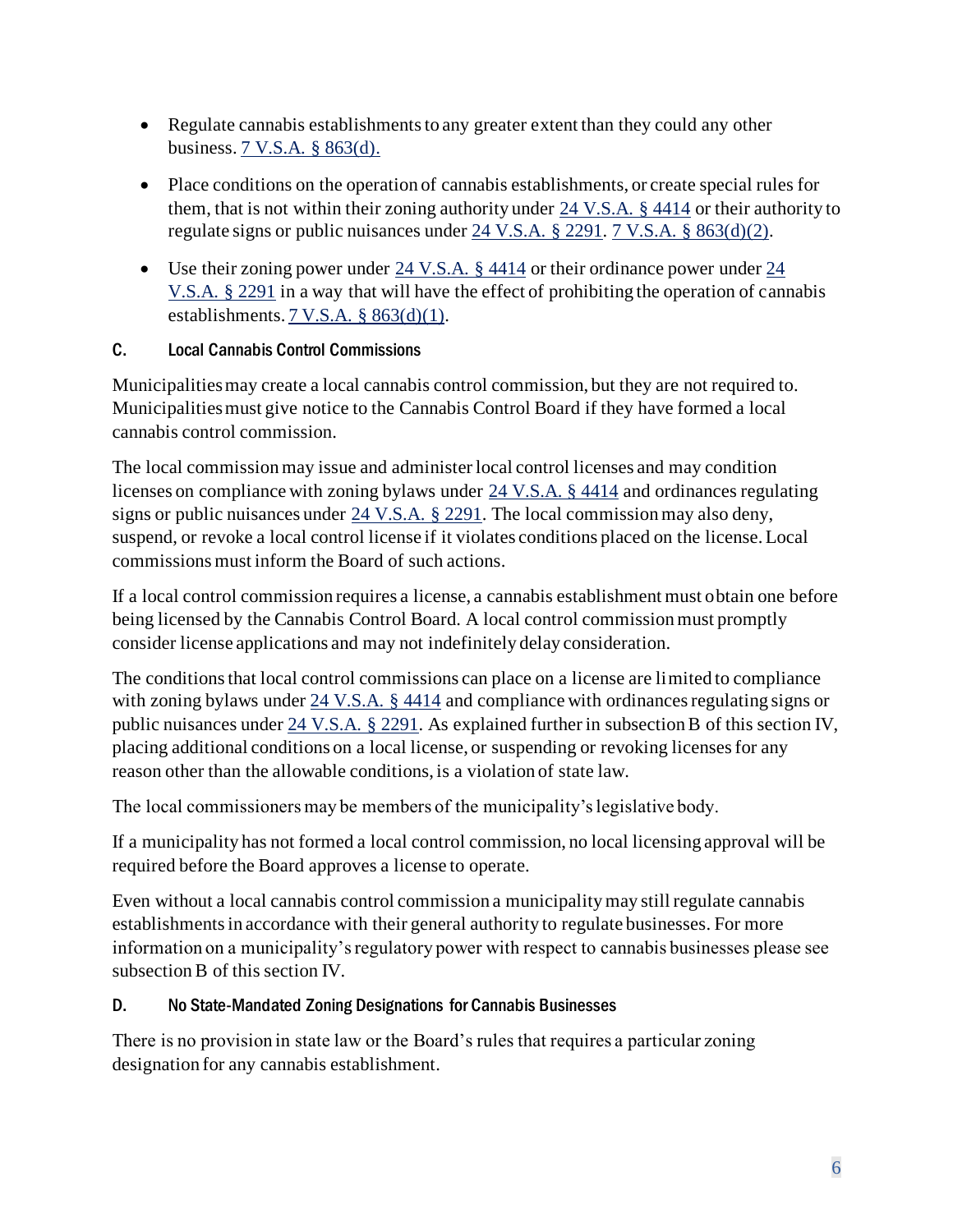- Regulate cannabis establishments to any greater extent than they could any other business[. 7 V.S.A. § 863\(d\).](https://legislature.vermont.gov/statutes/section/07/033/00863)
- Place conditions on the operation of cannabis establishments, or create special rules for them, that is not within their zoning authority under [24 V.S.A. § 4414](https://legislature.vermont.gov/statutes/section/24/117/04414) or their authority to regulate signs or public nuisances under [24 V.S.A. § 2291.](https://legislature.vermont.gov/statutes/section/24/061/02291) [7 V.S.A. § 863\(d\)\(](https://legislature.vermont.gov/statutes/section/07/033/00863)2).
- Use their zoning power under [24 V.S.A. § 4414](https://legislature.vermont.gov/statutes/section/24/117/04414) or their ordinance power under 24 [V.S.A. § 2291](https://legislature.vermont.gov/statutes/section/24/061/02291) in a way that will have the effect of prohibiting the operation of cannabis establishments[. 7 V.S.A. § 863\(d\)\(](https://legislature.vermont.gov/statutes/section/07/033/00863)1).

#### <span id="page-6-0"></span>C. Local Cannabis Control Commissions

Municipalities may create a local cannabis control commission, but they are not required to. Municipalities must give notice to the Cannabis Control Board if they have formed a local cannabis control commission.

The local commission may issue and administer local control licenses and may condition licenses on compliance with zoning bylaws under [24 V.S.A. § 4414](https://legislature.vermont.gov/statutes/section/24/117/04414) and ordinances regulating signs or public nuisances under [24 V.S.A. § 2291.](https://legislature.vermont.gov/statutes/section/24/061/02291) The local commission may also deny, suspend, or revoke a local control license if it violates conditions placed on the license. Local commissions must inform the Board of such actions.

If a local control commission requires a license, a cannabis establishment must obtain one before being licensed by the Cannabis Control Board. A local control commission must promptly consider license applications and may not indefinitely delay consideration.

The conditions that local control commissions can place on a license are limited to compliance with zoning bylaws under [24 V.S.A. § 4414](https://legislature.vermont.gov/statutes/section/24/117/04414) and compliance with ordinances regulating signs or public nuisances under [24 V.S.A. § 2291.](https://legislature.vermont.gov/statutes/section/24/061/02291) As explained further in subsection B of this section IV, placing additional conditions on a local license, or suspending or revoking licenses for any reason other than the allowable conditions, is a violation of state law.

The local commissioners may be members of the municipality's legislative body.

If a municipality has not formed a local control commission, no local licensing approval will be required before the Board approves a license to operate.

Even without a local cannabis control commission a municipality may still regulate cannabis establishments in accordance with their general authority to regulate businesses. For more information on a municipality's regulatory power with respect to cannabis businesses please see subsection B of this section IV.

#### <span id="page-6-1"></span>D. No State-Mandated Zoning Designations for Cannabis Businesses

There is no provision in state law or the Board's rules that requires a particular zoning designation for any cannabis establishment.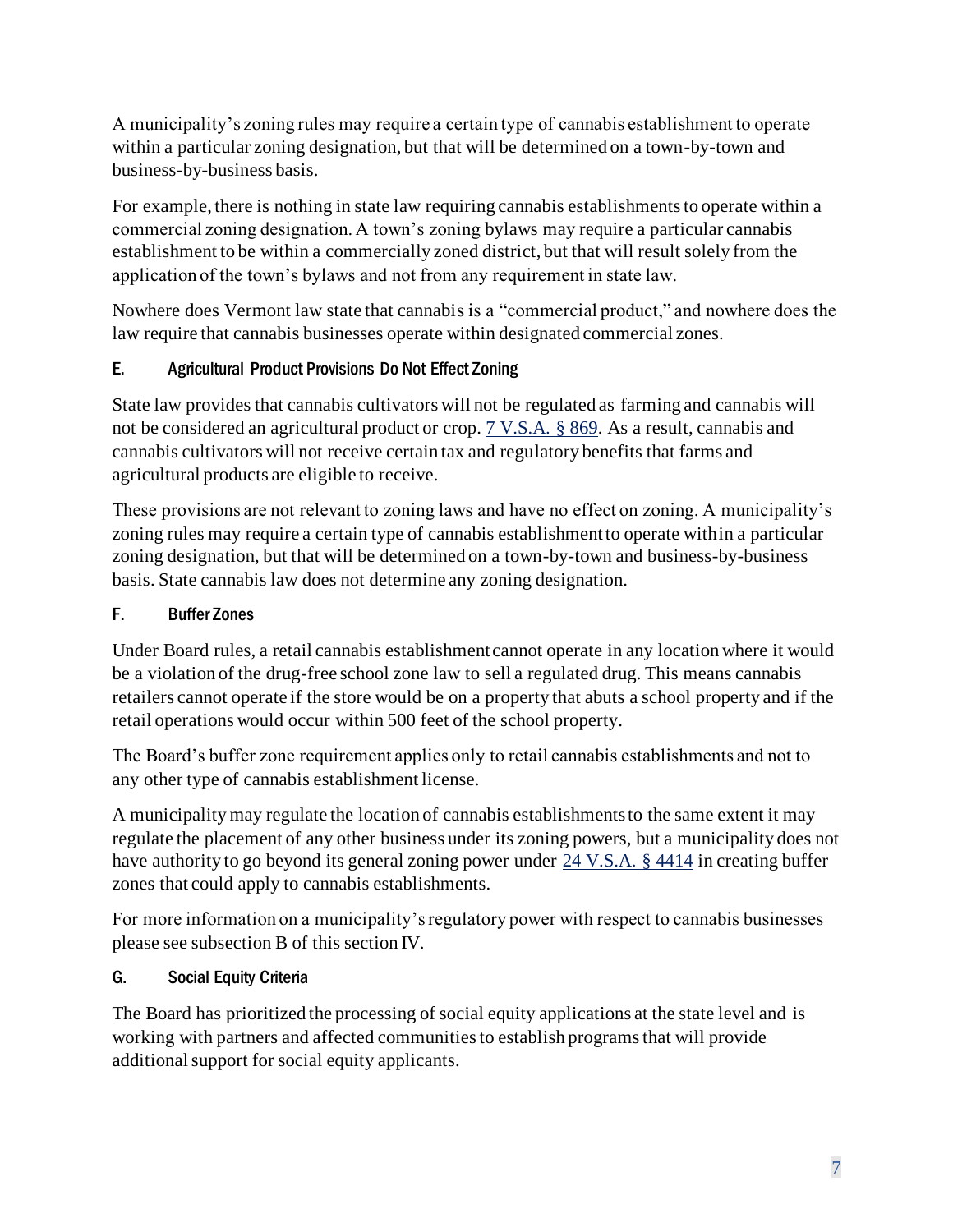A municipality's zoning rules may require a certain type of cannabis establishment to operate within a particular zoning designation, but that will be determined on a town-by-town and business-by-business basis.

For example, there is nothing in state law requiring cannabis establishments to operate within a commercial zoning designation. A town's zoning bylaws may require a particular cannabis establishment to be within a commercially zoned district, but that will result solely from the application of the town's bylaws and not from any requirement in state law.

Nowhere does Vermont law state that cannabis is a "commercial product," and nowhere does the law require that cannabis businesses operate within designated commercial zones.

## <span id="page-7-0"></span>E. Agricultural Product Provisions Do Not Effect Zoning

State law provides that cannabis cultivators will not be regulated as farming and cannabis will not be considered an agricultural product or crop. [7 V.S.A. § 869.](https://legislature.vermont.gov/statutes/section/07/033/00869) As a result, cannabis and cannabis cultivators will not receive certain tax and regulatory benefits that farms and agricultural products are eligible to receive.

These provisions are not relevant to zoning laws and have no effect on zoning. A municipality's zoning rules may require a certain type of cannabis establishment to operate within a particular zoning designation, but that will be determined on a town-by-town and business-by-business basis. State cannabis law does not determine any zoning designation.

#### <span id="page-7-1"></span>F. Buffer Zones

Under Board rules, a retail cannabis establishment cannot operate in any location where it would be a violation of the drug-free school zone law to sell a regulated drug. This means cannabis retailers cannot operate if the store would be on a property that abuts a school property and if the retail operations would occur within 500 feet of the school property.

The Board's buffer zone requirement applies only to retail cannabis establishments and not to any other type of cannabis establishment license.

A municipality may regulate the location of cannabis establishments to the same extent it may regulate the placement of any other business under its zoning powers, but a municipality does not have authority to go beyond its general zoning power under [24 V.S.A. § 4414](https://legislature.vermont.gov/statutes/section/24/117/04414) in creating buffer zones that could apply to cannabis establishments.

For more information on a municipality's regulatory power with respect to cannabis businesses please see subsection B of this section IV.

#### <span id="page-7-2"></span>G. Social Equity Criteria

The Board has prioritized the processing of social equity applications at the state level and is working with partners and affected communities to establish programs that will provide additional support for social equity applicants.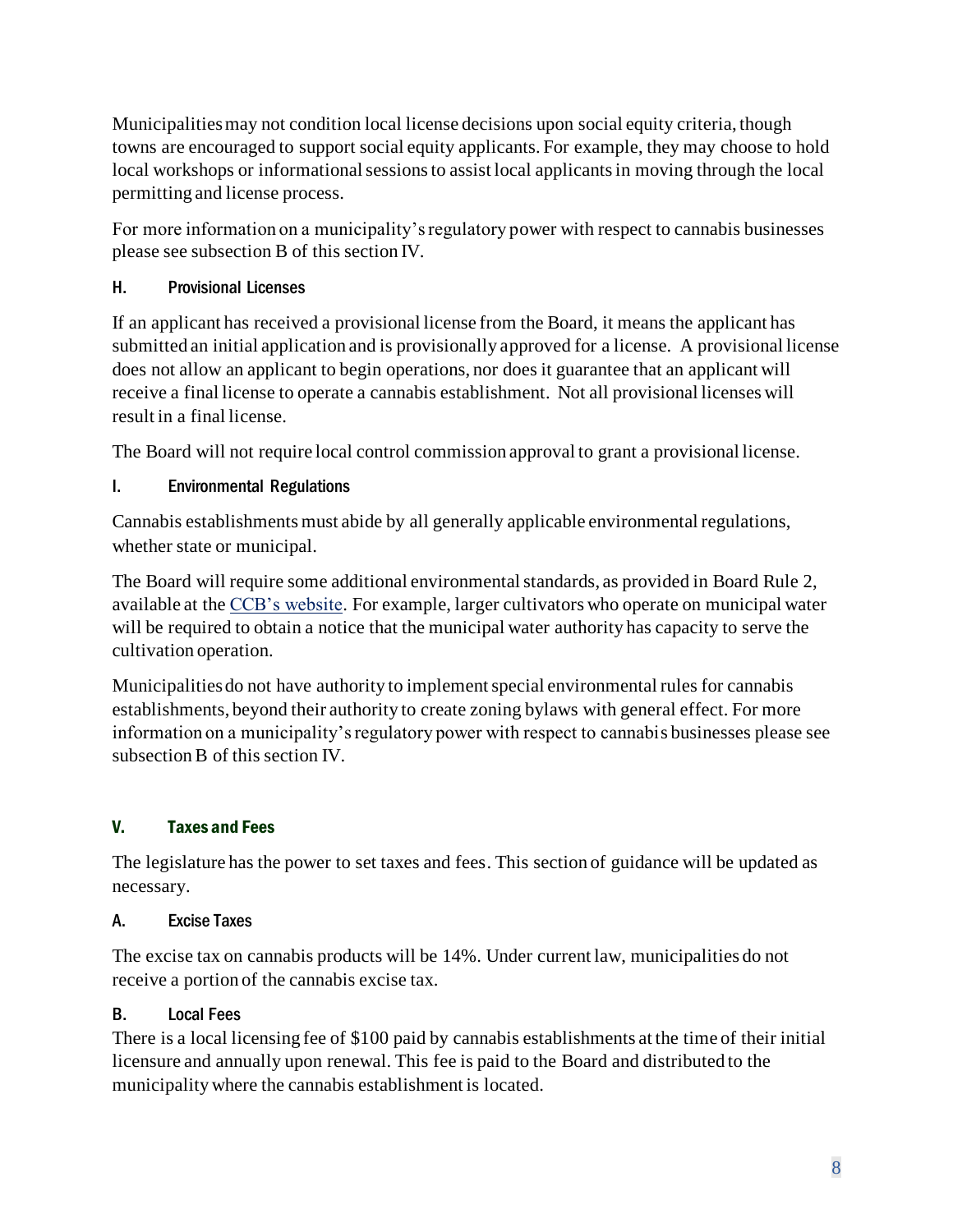Municipalities may not condition local license decisions upon social equity criteria, though towns are encouraged to support social equity applicants. For example, they may choose to hold local workshops or informational sessions to assist local applicants in moving through the local permitting and license process.

For more information on a municipality's regulatory power with respect to cannabis businesses please see subsection B of this section IV.

## <span id="page-8-0"></span>H. Provisional Licenses

If an applicant has received a provisional license from the Board, it means the applicant has submitted an initial application and is provisionally approved for a license. A provisional license does not allow an applicant to begin operations, nor does it guarantee that an applicant will receive a final license to operate a cannabis establishment. Not all provisional licenses will result in a final license.

The Board will not require local control commission approval to grant a provisional license.

## <span id="page-8-1"></span>I. Environmental Regulations

Cannabis establishments must abide by all generally applicable environmental regulations, whether state or municipal.

The Board will require some additional environmental standards, as provided in Board Rule 2, available at th[e CCB's website.](https://ccb.vermont.gov/) For example, larger cultivators who operate on municipal water will be required to obtain a notice that the municipal water authority has capacity to serve the cultivation operation.

Municipalities do not have authority to implement special environmental rules for cannabis establishments, beyond their authority to create zoning bylaws with general effect. For more information on a municipality's regulatory power with respect to cannabis businesses please see subsection B of this section IV.

## <span id="page-8-2"></span>V. Taxes and Fees

The legislature has the power to set taxes and fees. This section of guidance will be updated as necessary.

## <span id="page-8-3"></span>A. Excise Taxes

The excise tax on cannabis products will be 14%. Under current law, municipalities do not receive a portion of the cannabis excise tax.

## <span id="page-8-4"></span>B. Local Fees

There is a local licensing fee of \$100 paid by cannabis establishments at the time of their initial licensure and annually upon renewal. This fee is paid to the Board and distributed to the municipality where the cannabis establishment is located.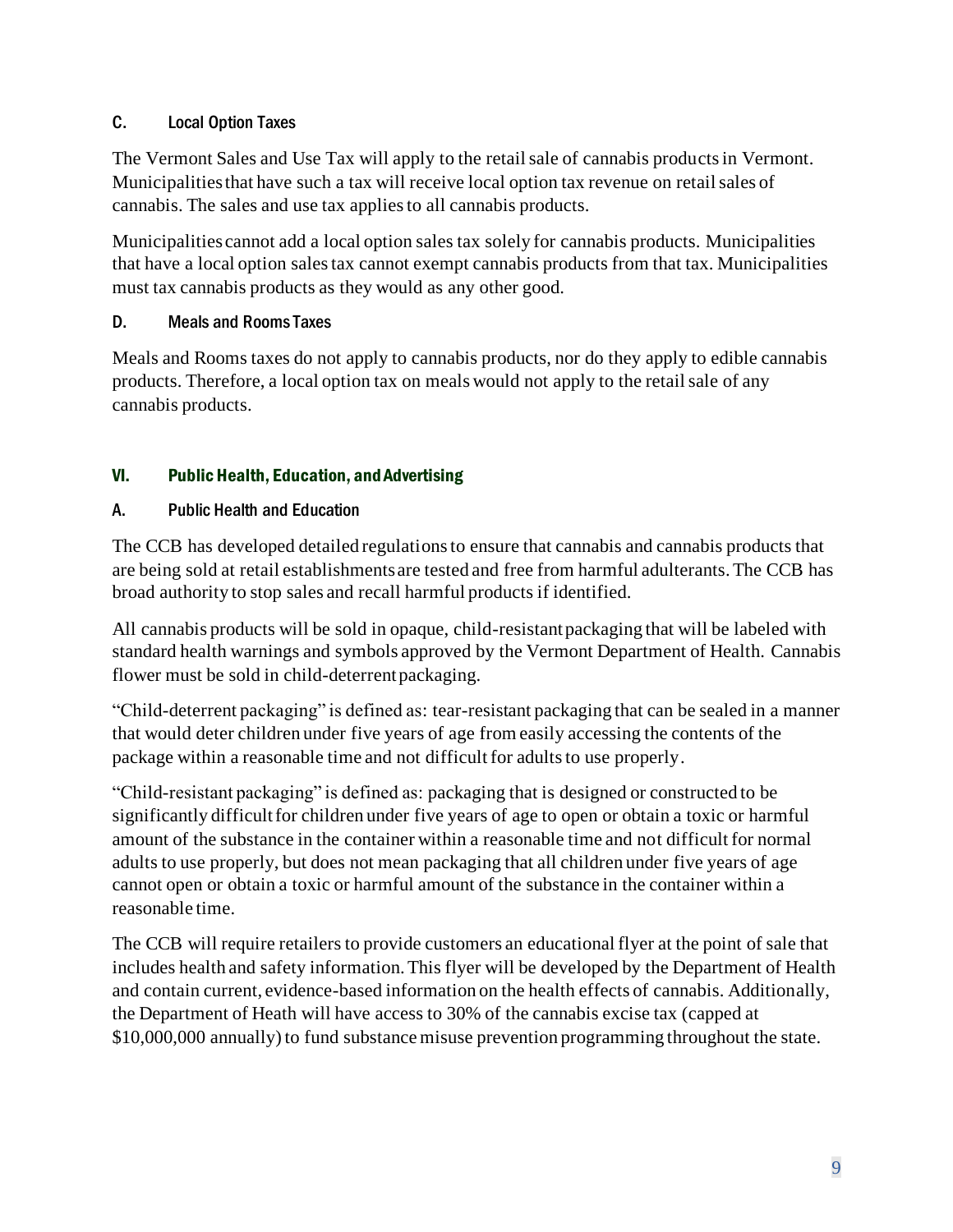#### <span id="page-9-0"></span>C. Local Option Taxes

The Vermont Sales and Use Tax will apply to the retail sale of cannabis products in Vermont. Municipalities that have such a tax will receive local option tax revenue on retail sales of cannabis. The sales and use tax applies to all cannabis products.

Municipalities cannot add a local option sales tax solely for cannabis products. Municipalities that have a local option sales tax cannot exempt cannabis products from that tax. Municipalities must tax cannabis products as they would as any other good.

#### <span id="page-9-1"></span>D. Meals and Rooms Taxes

Meals and Rooms taxes do not apply to cannabis products, nor do they apply to edible cannabis products. Therefore, a local option tax on meals would not apply to the retail sale of any cannabis products.

#### <span id="page-9-2"></span>VI. Public Health, Education, and Advertising

#### <span id="page-9-3"></span>A. Public Health and Education

The CCB has developed detailed regulations to ensure that cannabis and cannabis products that are being sold at retail establishments are tested and free from harmful adulterants. The CCB has broad authority to stop sales and recall harmful products if identified.

All cannabis products will be sold in opaque, child-resistant packaging that will be labeled with standard health warnings and symbols approved by the Vermont Department of Health. Cannabis flower must be sold in child-deterrent packaging.

"Child-deterrent packaging" is defined as: tear-resistant packaging that can be sealed in a manner that would deter children under five years of age from easily accessing the contents of the package within a reasonable time and not difficult for adults to use properly.

"Child-resistant packaging" is defined as: packaging that is designed or constructed to be significantly difficult for children under five years of age to open or obtain a toxic or harmful amount of the substance in the container within a reasonable time and not difficult for normal adults to use properly, but does not mean packaging that all children under five years of age cannot open or obtain a toxic or harmful amount of the substance in the container within a reasonable time.

The CCB will require retailers to provide customers an educational flyer at the point of sale that includes health and safety information. This flyer will be developed by the Department of Health and contain current, evidence-based information on the health effects of cannabis. Additionally, the Department of Heath will have access to 30% of the cannabis excise tax (capped at \$10,000,000 annually) to fund substance misuse prevention programming throughout the state.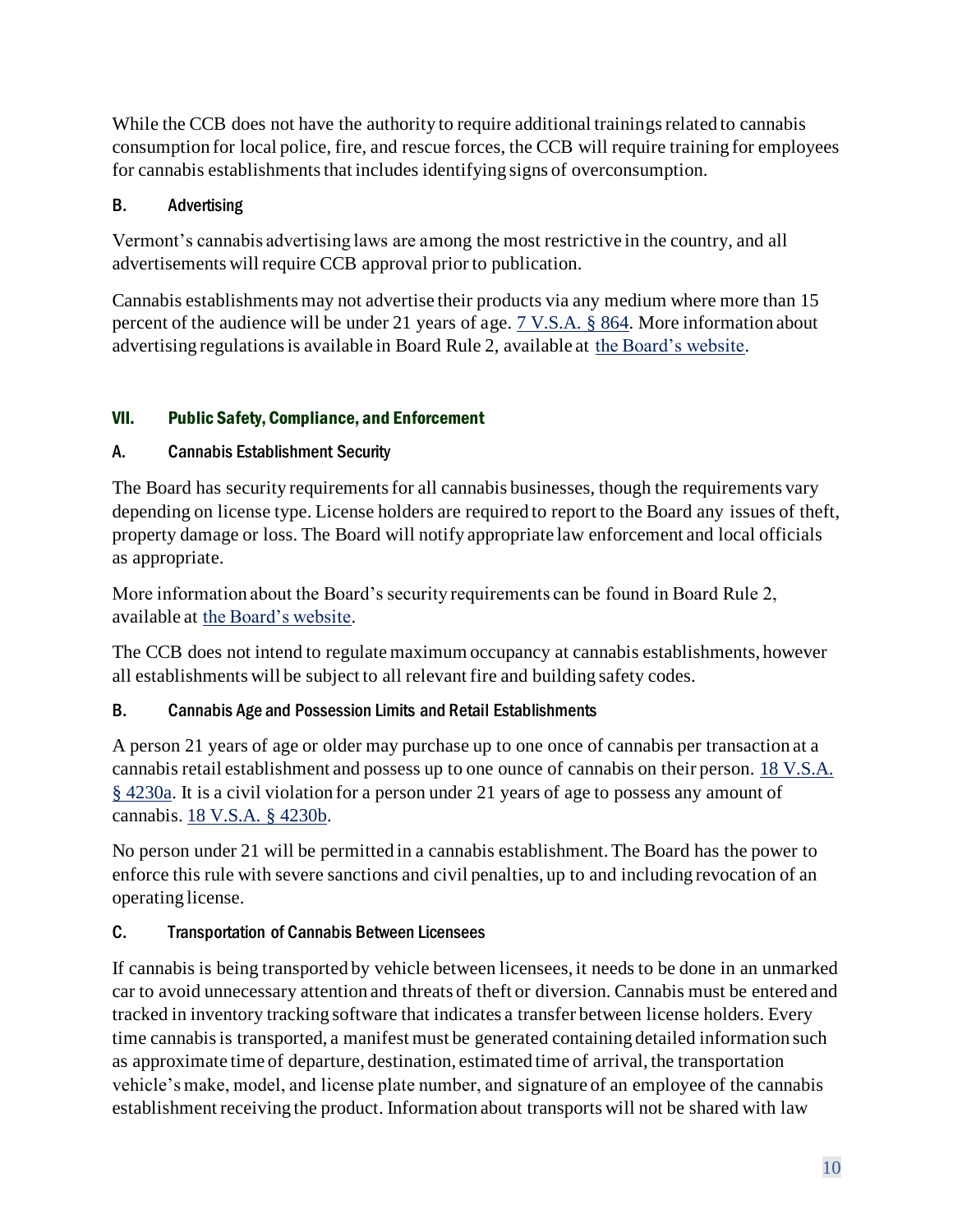While the CCB does not have the authority to require additional trainings related to cannabis consumption for local police, fire, and rescue forces, the CCB will require training for employees for cannabis establishments that includes identifying signs of overconsumption.

## <span id="page-10-0"></span>B. Advertising

Vermont's cannabis advertising laws are among the most restrictive in the country, and all advertisements will require CCB approval prior to publication.

Cannabis establishments may not advertise their products via any medium where more than 15 percent of the audience will be under 21 years of age. [7 V.S.A. § 864.](https://legislature.vermont.gov/statutes/section/07/033/00864) More information about advertising regulations is available in Board Rule 2, available at [the Board's website.](https://ccb.vermont.gov/)

## <span id="page-10-1"></span>VII. Public Safety, Compliance, and Enforcement

## <span id="page-10-2"></span>A. Cannabis Establishment Security

The Board has security requirements for all cannabis businesses, though the requirements vary depending on license type. License holders are required to report to the Board any issues of theft, property damage or loss. The Board will notify appropriate law enforcement and local officials as appropriate.

More information about the Board's security requirements can be found in Board Rule 2, available at [the Board's website.](https://ccb.vermont.gov/)

The CCB does not intend to regulate maximum occupancy at cannabis establishments, however all establishments will be subject to all relevant fire and building safety codes.

## <span id="page-10-3"></span>B. Cannabis Age and Possession Limits and Retail Establishments

A person 21 years of age or older may purchase up to one once of cannabis per transaction at a cannabis retail establishment and possess up to one ounce of cannabis on their person. [18 V.S.A.](https://legislature.vermont.gov/statutes/section/18/084/04230a)  [§ 4230a.](https://legislature.vermont.gov/statutes/section/18/084/04230a) It is a civil violation for a person under 21 years of age to possess any amount of cannabis. [18 V.S.A. § 4230b.](https://legislature.vermont.gov/statutes/section/18/084/04230b)

No person under 21 will be permitted in a cannabis establishment. The Board has the power to enforce this rule with severe sanctions and civil penalties, up to and including revocation of an operating license.

## <span id="page-10-4"></span>C. Transportation of Cannabis Between Licensees

If cannabis is being transported by vehicle between licensees, it needs to be done in an unmarked car to avoid unnecessary attention and threats of theft or diversion. Cannabis must be entered and tracked in inventory tracking software that indicates a transfer between license holders. Every time cannabis is transported, a manifest must be generated containing detailed information such as approximate time of departure, destination, estimated time of arrival, the transportation vehicle's make, model, and license plate number, and signature of an employee of the cannabis establishment receiving the product. Information about transports will not be shared with law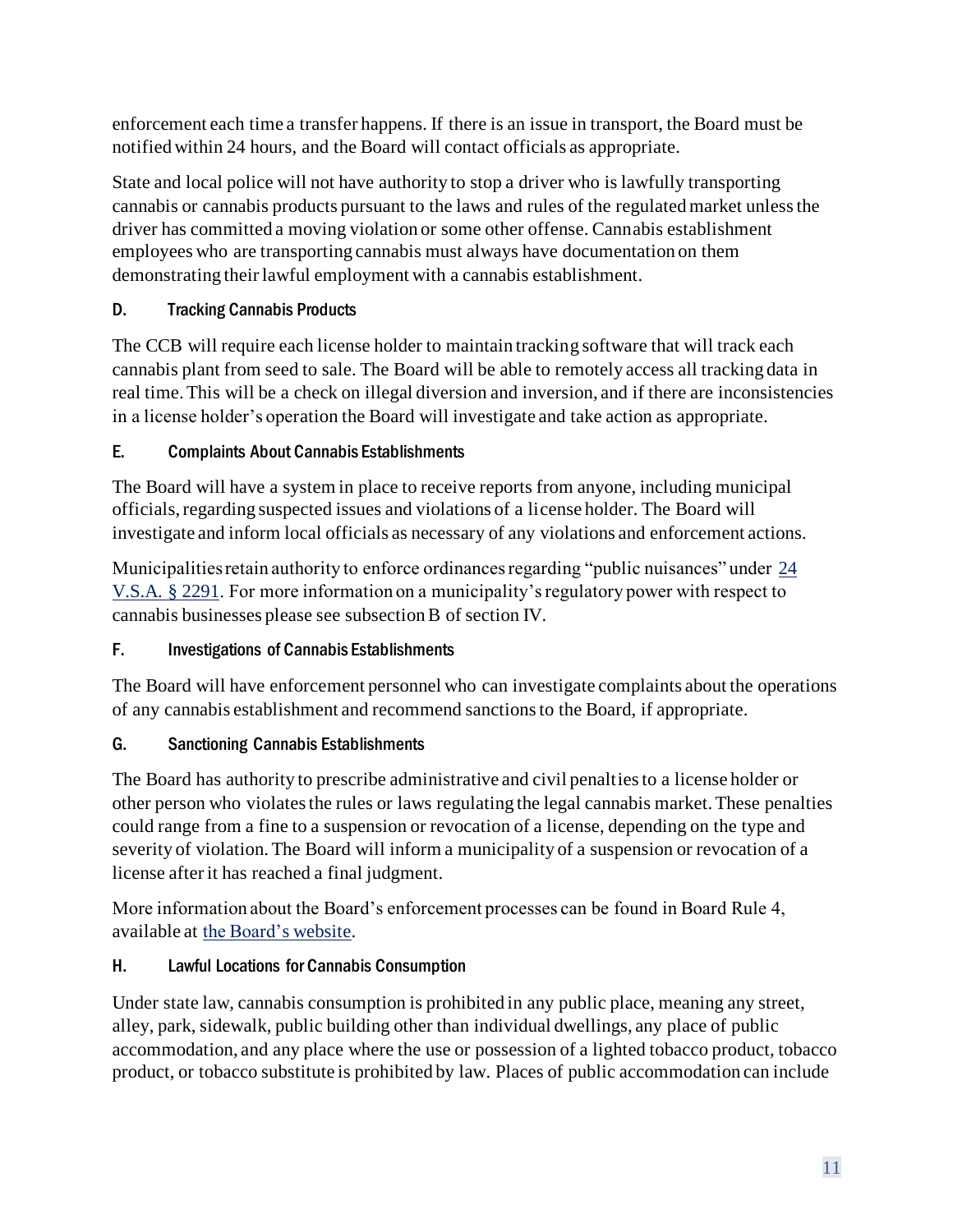enforcement each time a transfer happens. If there is an issue in transport, the Board must be notified within 24 hours, and the Board will contact officials as appropriate.

State and local police will not have authority to stop a driver who is lawfully transporting cannabis or cannabis products pursuant to the laws and rules of the regulated market unless the driver has committed a moving violation or some other offense. Cannabis establishment employees who are transporting cannabis must always have documentation on them demonstrating their lawful employment with a cannabis establishment.

## <span id="page-11-0"></span>D. Tracking Cannabis Products

The CCB will require each license holder to maintain tracking software that will track each cannabis plant from seed to sale. The Board will be able to remotely access all tracking data in real time. This will be a check on illegal diversion and inversion, and if there are inconsistencies in a license holder's operation the Board will investigate and take action as appropriate.

## E. Complaints About Cannabis Establishments

The Board will have a system in place to receive reports from anyone, including municipal officials, regarding suspected issues and violations of a license holder. The Board will investigate and inform local officials as necessary of any violations and enforcement actions.

Municipalities retain authority to enforce ordinances regarding "public nuisances" under [24](https://legislature.vermont.gov/statutes/section/24/061/02291)  [V.S.A. § 2291.](https://legislature.vermont.gov/statutes/section/24/061/02291) For more information on a municipality's regulatory power with respect to cannabis businesses please see subsection B of section IV.

## <span id="page-11-1"></span>F. Investigations of Cannabis Establishments

The Board will have enforcement personnel who can investigate complaints about the operations of any cannabis establishment and recommend sanctions to the Board, if appropriate.

## <span id="page-11-2"></span>G. Sanctioning Cannabis Establishments

The Board has authority to prescribe administrative and civil penalties to a license holder or other person who violates the rules or laws regulating the legal cannabis market. These penalties could range from a fine to a suspension or revocation of a license, depending on the type and severity of violation. The Board will inform a municipality of a suspension or revocation of a license after it has reached a final judgment.

More information about the Board's enforcement processes can be found in Board Rule 4, available at [the Board's website.](https://ccb.vermont.gov/)

## <span id="page-11-3"></span>H. Lawful Locations for Cannabis Consumption

Under state law, cannabis consumption is prohibited in any public place, meaning any street, alley, park, sidewalk, public building other than individual dwellings, any place of public accommodation, and any place where the use or possession of a lighted tobacco product, tobacco product, or tobacco substitute is prohibited by law. Places of public accommodation can include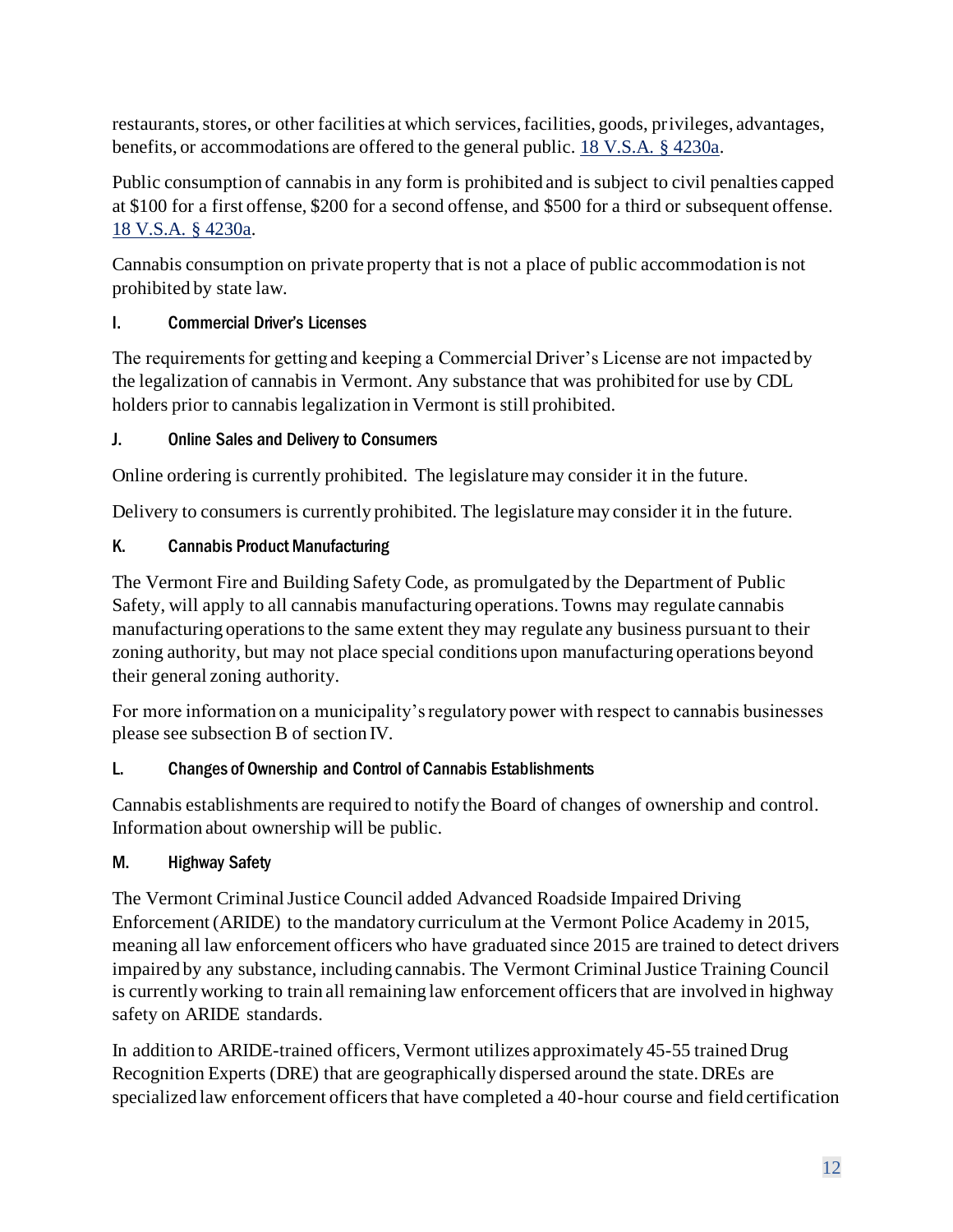restaurants, stores, or other facilities at which services, facilities, goods, privileges, advantages, benefits, or accommodations are offered to the general public. [18 V.S.A. § 4230a.](https://legislature.vermont.gov/statutes/section/18/084/04230a)

Public consumption of cannabis in any form is prohibited and is subject to civil penalties capped at \$100 for a first offense, \$200 for a second offense, and \$500 for a third or subsequent offense. [18 V.S.A. § 4230a.](https://legislature.vermont.gov/statutes/section/18/084/04230a)

Cannabis consumption on private property that is not a place of public accommodation is not prohibited by state law.

## <span id="page-12-0"></span>I. Commercial Driver's Licenses

The requirements for getting and keeping a Commercial Driver's License are not impacted by the legalization of cannabis in Vermont. Any substance that was prohibited for use by CDL holders prior to cannabis legalization in Vermont is still prohibited.

## <span id="page-12-1"></span>J. Online Sales and Delivery to Consumers

Online ordering is currently prohibited. The legislature may consider it in the future.

Delivery to consumers is currently prohibited. The legislature may consider it in the future.

## <span id="page-12-2"></span>K. Cannabis Product Manufacturing

The Vermont Fire and Building Safety Code, as promulgated by the Department of Public Safety, will apply to all cannabis manufacturing operations. Towns may regulate cannabis manufacturing operations to the same extent they may regulate any business pursuant to their zoning authority, but may not place special conditions upon manufacturing operations beyond their general zoning authority.

For more information on a municipality's regulatory power with respect to cannabis businesses please see subsection B of section IV.

## <span id="page-12-3"></span>L. Changes of Ownership and Control of Cannabis Establishments

Cannabis establishments are required to notify the Board of changes of ownership and control. Information about ownership will be public.

## <span id="page-12-4"></span>M. Highway Safety

The Vermont Criminal Justice Council added Advanced Roadside Impaired Driving Enforcement (ARIDE) to the mandatory curriculum at the Vermont Police Academy in 2015, meaning all law enforcement officers who have graduated since 2015 are trained to detect drivers impaired by any substance, including cannabis. The Vermont Criminal Justice Training Council is currently working to train all remaining law enforcement officers that are involved in highway safety on ARIDE standards.

In addition to ARIDE-trained officers, Vermont utilizes approximately 45-55 trained Drug Recognition Experts (DRE) that are geographically dispersed around the state. DREs are specialized law enforcement officers that have completed a 40-hour course and field certification